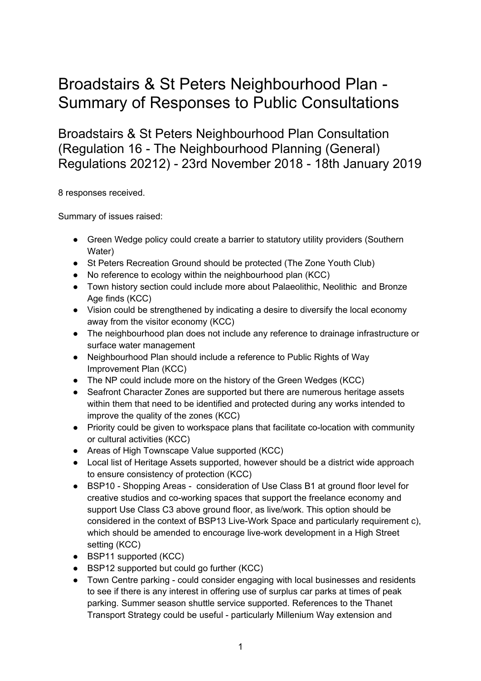## Broadstairs & St Peters Neighbourhood Plan - Summary of Responses to Public Consultations

Broadstairs & St Peters Neighbourhood Plan Consultation (Regulation 16 - The Neighbourhood Planning (General) Regulations 20212) - 23rd November 2018 - 18th January 2019

8 responses received.

Summary of issues raised:

- Green Wedge policy could create a barrier to statutory utility providers (Southern Water)
- St Peters Recreation Ground should be protected (The Zone Youth Club)
- No reference to ecology within the neighbourhood plan (KCC)
- Town history section could include more about Palaeolithic, Neolithic and Bronze Age finds (KCC)
- Vision could be strengthened by indicating a desire to diversify the local economy away from the visitor economy (KCC)
- The neighbourhood plan does not include any reference to drainage infrastructure or surface water management
- Neighbourhood Plan should include a reference to Public Rights of Way Improvement Plan (KCC)
- The NP could include more on the history of the Green Wedges (KCC)
- Seafront Character Zones are supported but there are numerous heritage assets within them that need to be identified and protected during any works intended to improve the quality of the zones (KCC)
- Priority could be given to workspace plans that facilitate co-location with community or cultural activities (KCC)
- Areas of High Townscape Value supported (KCC)
- Local list of Heritage Assets supported, however should be a district wide approach to ensure consistency of protection (KCC)
- BSP10 Shopping Areas consideration of Use Class B1 at ground floor level for creative studios and co-working spaces that support the freelance economy and support Use Class C3 above ground floor, as live/work. This option should be considered in the context of BSP13 Live-Work Space and particularly requirement c), which should be amended to encourage live-work development in a High Street setting (KCC)
- BSP11 supported (KCC)
- BSP12 supported but could go further (KCC)
- Town Centre parking could consider engaging with local businesses and residents to see if there is any interest in offering use of surplus car parks at times of peak parking. Summer season shuttle service supported. References to the Thanet Transport Strategy could be useful - particularly Millenium Way extension and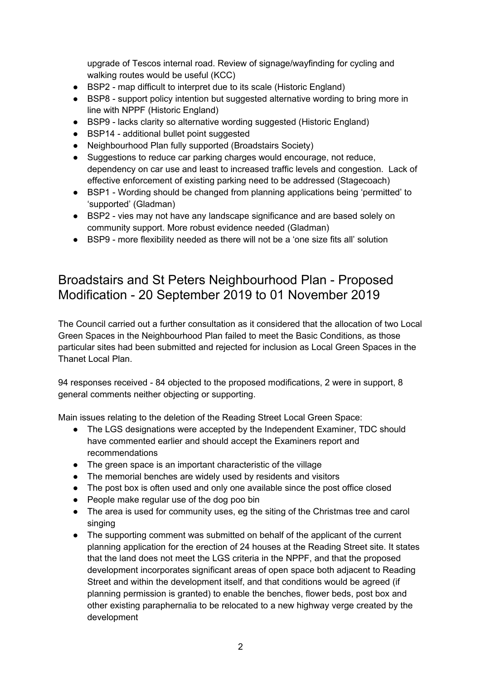upgrade of Tescos internal road. Review of signage/wayfinding for cycling and walking routes would be useful (KCC)

- BSP2 map difficult to interpret due to its scale (Historic England)
- BSP8 support policy intention but suggested alternative wording to bring more in line with NPPF (Historic England)
- BSP9 lacks clarity so alternative wording suggested (Historic England)
- BSP14 additional bullet point suggested
- Neighbourhood Plan fully supported (Broadstairs Society)
- Suggestions to reduce car parking charges would encourage, not reduce, dependency on car use and least to increased traffic levels and congestion. Lack of effective enforcement of existing parking need to be addressed (Stagecoach)
- BSP1 Wording should be changed from planning applications being 'permitted' to 'supported' (Gladman)
- BSP2 vies may not have any landscape significance and are based solely on community support. More robust evidence needed (Gladman)
- BSP9 more flexibility needed as there will not be a 'one size fits all' solution

## Broadstairs and St Peters Neighbourhood Plan - Proposed Modification - 20 September 2019 to 01 November 2019

The Council carried out a further consultation as it considered that the allocation of two Local Green Spaces in the Neighbourhood Plan failed to meet the Basic Conditions, as those particular sites had been submitted and rejected for inclusion as Local Green Spaces in the Thanet Local Plan.

94 responses received - 84 objected to the proposed modifications, 2 were in support, 8 general comments neither objecting or supporting.

Main issues relating to the deletion of the Reading Street Local Green Space:

- The LGS designations were accepted by the Independent Examiner, TDC should have commented earlier and should accept the Examiners report and recommendations
- The green space is an important characteristic of the village
- The memorial benches are widely used by residents and visitors
- The post box is often used and only one available since the post office closed
- People make regular use of the dog poo bin
- The area is used for community uses, eg the siting of the Christmas tree and carol singing
- The supporting comment was submitted on behalf of the applicant of the current planning application for the erection of 24 houses at the Reading Street site. It states that the land does not meet the LGS criteria in the NPPF, and that the proposed development incorporates significant areas of open space both adjacent to Reading Street and within the development itself, and that conditions would be agreed (if planning permission is granted) to enable the benches, flower beds, post box and other existing paraphernalia to be relocated to a new highway verge created by the development